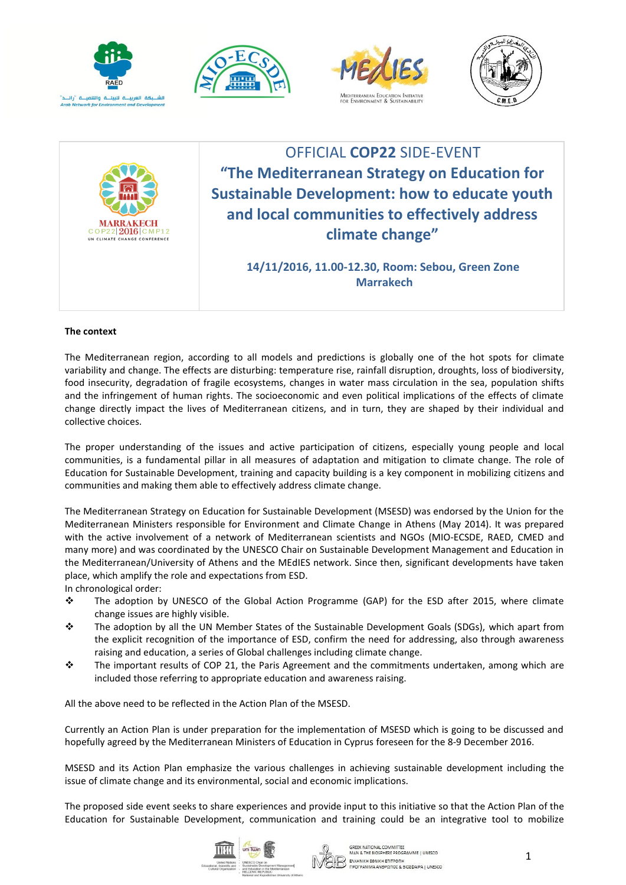









# OFFICIAL **COP22** SIDE-EVENT **"The Mediterranean Strategy on Education for Sustainable Development: how to educate youth and local communities to effectively address climate change"**

**14/11/2016, 11.00-12.30, Room: Sebou, Green Zone Marrakech**

## **The context**

The Mediterranean region, according to all models and predictions is globally one of the hot spots for climate variability and change. The effects are disturbing: temperature rise, rainfall disruption, droughts, loss of biodiversity, food insecurity, degradation of fragile ecosystems, changes in water mass circulation in the sea, population shifts and the infringement of human rights. The socioeconomic and even political implications of the effects of climate change directly impact the lives of Mediterranean citizens, and in turn, they are shaped by their individual and collective choices.

The proper understanding of the issues and active participation of citizens, especially young people and local communities, is a fundamental pillar in all measures of adaptation and mitigation to climate change. The role of Education for Sustainable Development, training and capacity building is a key component in mobilizing citizens and communities and making them able to effectively address climate change.

The Mediterranean Strategy on Education for Sustainable Development (MSESD) was endorsed by the Union for the Mediterranean Ministers responsible for Environment and Climate Change in Athens (May 2014). It was prepared with the active involvement of a network of Mediterranean scientists and NGOs (MIO-ECSDE, RAED, CMED and many more) and was coordinated by the UNESCO Chair on Sustainable Development Management and Education in the Mediterranean/University of Athens and the MEdIES network. Since then, significant developments have taken place, which amplify the role and expectations from ESD.

In chronological order:

- The adoption by UNESCO of the Global Action Programme (GAP) for the ESD after 2015, where climate change issues are highly visible.
- The adoption by all the UN Member States of the Sustainable Development Goals (SDGs), which apart from the explicit recognition of the importance of ESD, confirm the need for addressing, also through awareness raising and education, a series of Global challenges including climate change.
- \* The important results of COP 21, the Paris Agreement and the commitments undertaken, among which are included those referring to appropriate education and awareness raising.

All the above need to be reflected in the Action Plan of the MSESD.

Currently an Action Plan is under preparation for the implementation of MSESD which is going to be discussed and hopefully agreed by the Mediterranean Ministers of Education in Cyprus foreseen for the 8-9 December 2016.

MSESD and its Action Plan emphasize the various challenges in achieving sustainable development including the issue of climate change and its environmental, social and economic implications.

The proposed side event seeks to share experiences and provide input to this initiative so that the Action Plan of the Education for Sustainable Development, communication and training could be an integrative tool to mobilize